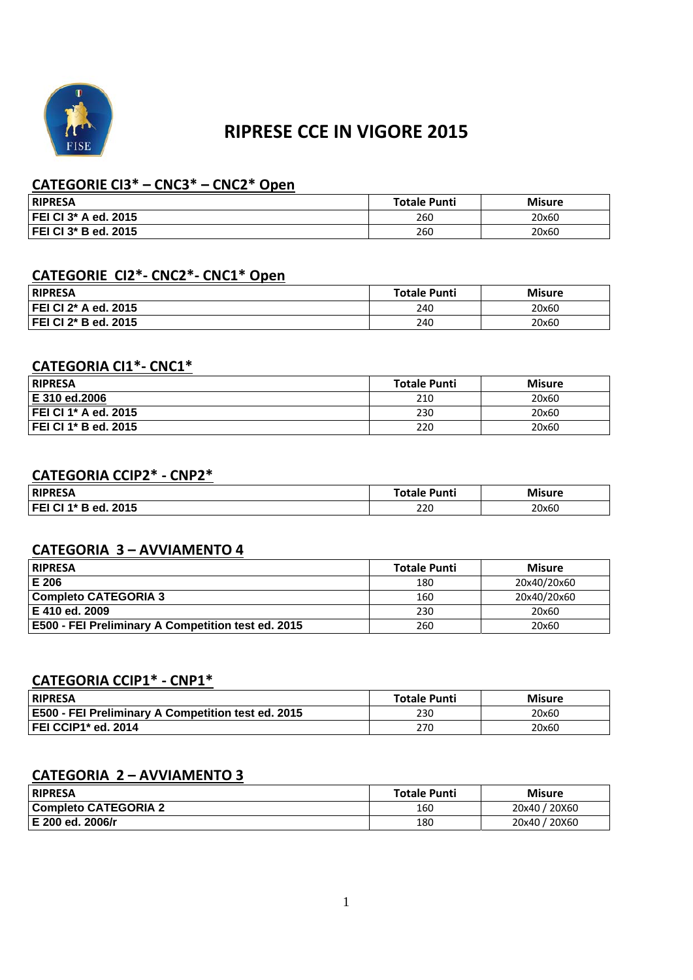

# **RIPRESE CCE IN VIGORE 2015**

## **CATEGORIE CI3\* – CNC3\* – CNC2\* Open**

| <b>RIPRESA</b>       | <b>Totale Punti</b> | <b>Misure</b> |
|----------------------|---------------------|---------------|
| FEI CI 3* A ed. 2015 | 260                 | 20x60         |
| FEI CI 3* B ed. 2015 | 260                 | 20x60         |

# **CATEGORIE CI2\*‐ CNC2\*‐ CNC1\* Open**

| <b>RIPRESA</b>       | <b>Totale Punti</b> | <b>Misure</b> |
|----------------------|---------------------|---------------|
| FEI CI 2* A ed. 2015 | 240                 | 20x60         |
| FEI CI 2* B ed. 2015 | 240                 | 20x60         |

# **CATEGORIA CI1\*‐ CNC1\***

| <b>RIPRESA</b>       | <b>Totale Punti</b> | <b>Misure</b> |
|----------------------|---------------------|---------------|
| E 310 ed.2006        | 210                 | 20x60         |
| FEI CI 1* A ed. 2015 | 230                 | 20x60         |
| FEI CI 1* B ed. 2015 | 220                 | 20x60         |

#### **CATEGORIA CCIP2\* ‐ CNP2\***

| <b>RIPRESA</b>          | <b>Totale Punti</b> | <b>Misure</b> |
|-------------------------|---------------------|---------------|
| FEI CI 1* B ed.<br>2015 | 220                 | 20x60         |

#### **CATEGORIA 3 – AVVIAMENTO 4**

| RIPRESA                                                   | <b>Totale Punti</b> | <b>Misure</b> |
|-----------------------------------------------------------|---------------------|---------------|
| E 206                                                     | 180                 | 20x40/20x60   |
| <b>Completo CATEGORIA 3</b>                               | 160                 | 20x40/20x60   |
| E 410 ed. 2009                                            | 230                 | 20x60         |
| <b>E500 - FEI Preliminary A Competition test ed. 2015</b> | 260                 | 20x60         |

### **CATEGORIA CCIP1\* ‐ CNP1\***

| <b>RIPRESA</b>                                            | <b>Totale Punti</b> | <b>Misure</b> |
|-----------------------------------------------------------|---------------------|---------------|
| <b>E500 - FEI Preliminary A Competition test ed. 2015</b> | 230                 | 20x60         |
| FEI CCIP1* ed. 2014                                       | 270                 | 20x60         |

#### **CATEGORIA 2 – AVVIAMENTO 3**

| RIPRESA              | <b>Totale Punti</b> | <b>Misure</b> |
|----------------------|---------------------|---------------|
| Completo CATEGORIA 2 | 160                 | 20x40 / 20X60 |
| l E 200 ed. 2006/r   | 180                 | 20x40 / 20X60 |